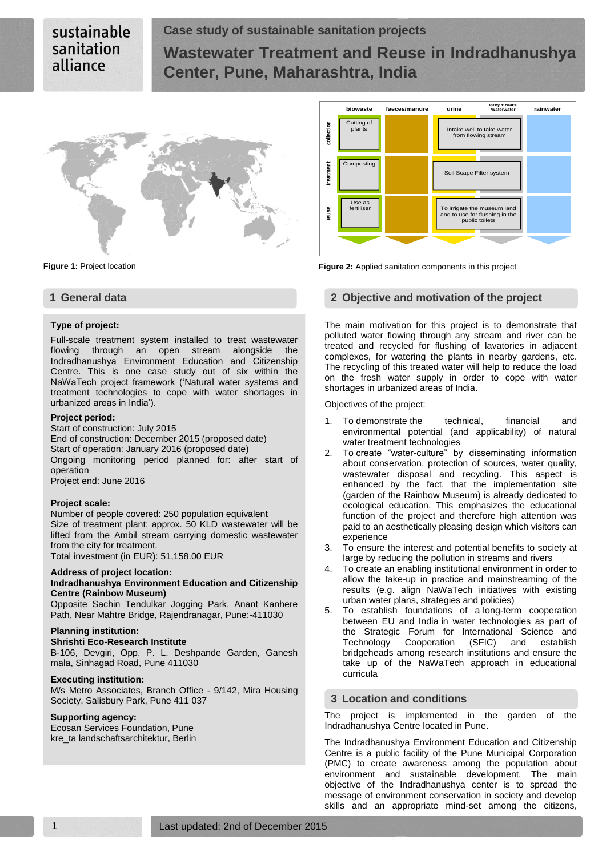# sustainable sanitation alliance

# **Case study of sustainable sanitation projects Wastewater Treatment and Reuse in Indradhanushya Center, Pune, Maharashtra, India**



#### **Type of project:**

Full-scale treatment system installed to treat wastewater flowing through an open stream alongside the Indradhanushya Environment Education and Citizenship Centre. This is one case study out of six within the NaWaTech project framework ('Natural water systems and treatment technologies to cope with water shortages in urbanized areas in India').

#### **Project period:**

Start of construction: July 2015 End of construction: December 2015 (proposed date) Start of operation: January 2016 (proposed date) Ongoing monitoring period planned for: after start of operation Project end: June 2016

#### **Project scale:**

Number of people covered: 250 population equivalent Size of treatment plant: approx. 50 KLD wastewater will be lifted from the Ambil stream carrying domestic wastewater from the city for treatment.

Total investment (in EUR): 51,158.00 EUR

#### **Address of project location:**

### **Indradhanushya Environment Education and Citizenship Centre (Rainbow Museum)**

Opposite Sachin Tendulkar Jogging Park, Anant Kanhere Path, Near Mahtre Bridge, Rajendranagar, Pune:-411030

#### **Planning institution:**

### **Shrishti Eco-Research Institute**

B-106, Devgiri, Opp. P. L. Deshpande Garden, Ganesh mala, Sinhagad Road, Pune 411030

#### **Executing institution:**

M/s Metro Associates, Branch Office - 9/142, Mira Housing Society, Salisbury Park, Pune 411 037

#### **Supporting agency:**

Ecosan Services Foundation, Pune kre\_ta landschaftsarchitektur, Berlin





# **1 General data 2 Objective and motivation of the project**

The main motivation for this project is to demonstrate that polluted water flowing through any stream and river can be treated and recycled for flushing of lavatories in adjacent complexes, for watering the plants in nearby gardens, etc. The recycling of this treated water will help to reduce the load on the fresh water supply in order to cope with water shortages in urbanized areas of India.

Objectives of the project:

- 1. To demonstrate the technical, financial and environmental potential (and applicability) of natural water treatment technologies
- 2. To create "water-culture" by disseminating information about conservation, protection of sources, water quality, wastewater disposal and recycling. This aspect is enhanced by the fact, that the implementation site (garden of the Rainbow Museum) is already dedicated to ecological education. This emphasizes the educational function of the project and therefore high attention was paid to an aesthetically pleasing design which visitors can experience
- 3. To ensure the interest and potential benefits to society at large by reducing the pollution in streams and rivers
- 4. To create an enabling institutional environment in order to allow the take-up in practice and mainstreaming of the results (e.g. align NaWaTech initiatives with existing urban water plans, strategies and policies)
- 5. To establish foundations of a long-term cooperation between EU and India in water technologies as part of the Strategic Forum for International Science and Technology Cooperation (SFIC) and establish bridgeheads among research institutions and ensure the take up of the NaWaTech approach in educational curricula

#### **3 Location and conditions**

The project is implemented in the garden of the Indradhanushya Centre located in Pune.

The Indradhanushya Environment Education and Citizenship Centre is a public facility of the Pune Municipal Corporation (PMC) to create awareness among the population about environment and sustainable development. The main objective of the Indradhanushya center is to spread the message of environment conservation in society and develop skills and an appropriate mind-set among the citizens,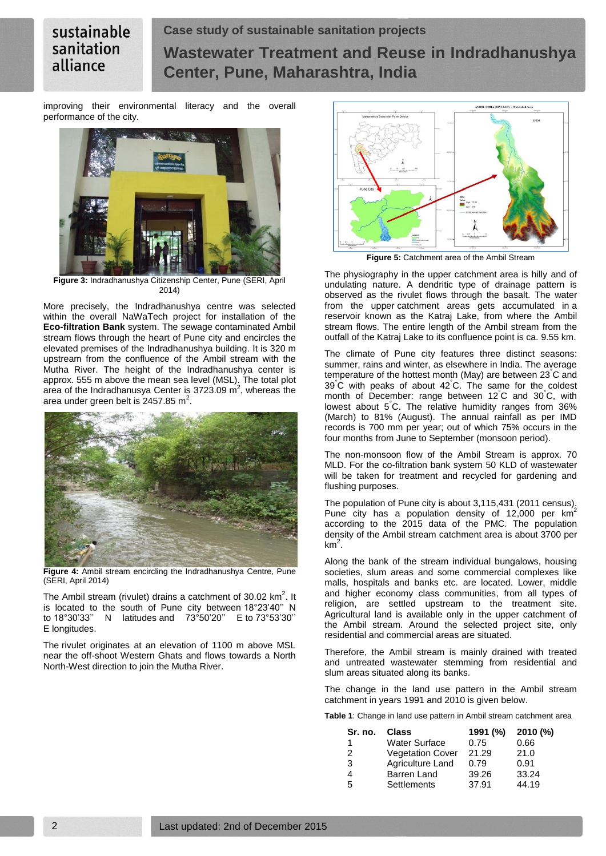# sustainable sanitation alliance

# **Case study of sustainable sanitation projects Wastewater Treatment and Reuse in Indradhanushya Center, Pune, Maharashtra, India**

improving their environmental literacy and the overall performance of the city.



**Figure 3:** Indradhanushya Citizenship Center, Pune (SERI, April  $2014$ 

More precisely, the Indradhanushya centre was selected within the overall NaWaTech project for installation of the **Eco-filtration Bank** system. The sewage contaminated Ambil stream flows through the heart of Pune city and encircles the elevated premises of the Indradhanushya building. It is 320 m upstream from the confluence of the Ambil stream with the Mutha River. The height of the Indradhanushya center is approx. 555 m above the mean sea level (MSL). The total plot area of the Indradhanusya Center is 3723.09  $\text{m}^2$ , whereas the area under green belt is 2457.85 m<sup>2</sup>.



**Figure 4:** Ambil stream encircling the Indradhanushya Centre, Pune (SERI, April 2014)

The Ambil stream (rivulet) drains a catchment of 30.02  $km^2$ . It is located to the south of Pune city between 18°23'40'' N to 18°30'33'' N latitudes and 73°50'20'' E to 73°53'30'' E longitudes.

The rivulet originates at an elevation of 1100 m above MSL near the off-shoot Western Ghats and flows towards a North North-West direction to join the Mutha River.



**Figure 5:** Catchment area of the Ambil Stream

The physiography in the upper catchment area is hilly and of undulating nature. A dendritic type of drainage pattern is observed as the rivulet flows through the basalt. The water from the upper catchment areas gets accumulated in a reservoir known as the Katraj Lake, from where the Ambil stream flows. The entire length of the Ambil stream from the outfall of the Katraj Lake to its confluence point is ca. 9.55 km.

The climate of Pune city features three distinct seasons: summer, rains and winter, as elsewhere in India. The average temperature of the hottest month (May) are between 23°C and 39°C with peaks of about 42°C. The same for the coldest month of December: range between 12°C and 30°C, with lowest about 5°C. The relative humidity ranges from 36% (March) to 81% (August). The annual rainfall as per IMD records is 700 mm per year; out of which 75% occurs in the four months from June to September (monsoon period).

The non-monsoon flow of the Ambil Stream is approx. 70 MLD. For the co-filtration bank system 50 KLD of wastewater will be taken for treatment and recycled for gardening and flushing purposes.

The population of Pune city is about  $3,115,431$  (2011 census). Pune city has a population density of  $12,000$  per km<sup>2</sup> according to the 2015 data of the PMC. The population density of the Ambil stream catchment area is about 3700 per  $km<sup>2</sup>$ .

Along the bank of the stream individual bungalows, housing societies, slum areas and some commercial complexes like malls, hospitals and banks etc. are located. Lower, middle and higher economy class communities, from all types of religion, are settled upstream to the treatment site. Agricultural land is available only in the upper catchment of the Ambil stream. Around the selected project site, only residential and commercial areas are situated.

Therefore, the Ambil stream is mainly drained with treated and untreated wastewater stemming from residential and slum areas situated along its banks.

The change in the land use pattern in the Ambil stream catchment in years 1991 and 2010 is given below.

**Table 1**: Change in land use pattern in Ambil stream catchment area

| Sr. no.       | Class                   | 1991 (%) | 2010(%) |
|---------------|-------------------------|----------|---------|
| 1             | <b>Water Surface</b>    | 0.75     | 0.66    |
| $\mathcal{P}$ | <b>Vegetation Cover</b> | 21.29    | 21.0    |
| 3             | Agriculture Land        | 0.79     | 0.91    |
| 4             | Barren Land             | 39.26    | 33.24   |
| -5            | Settlements             | 37.91    | 44.19   |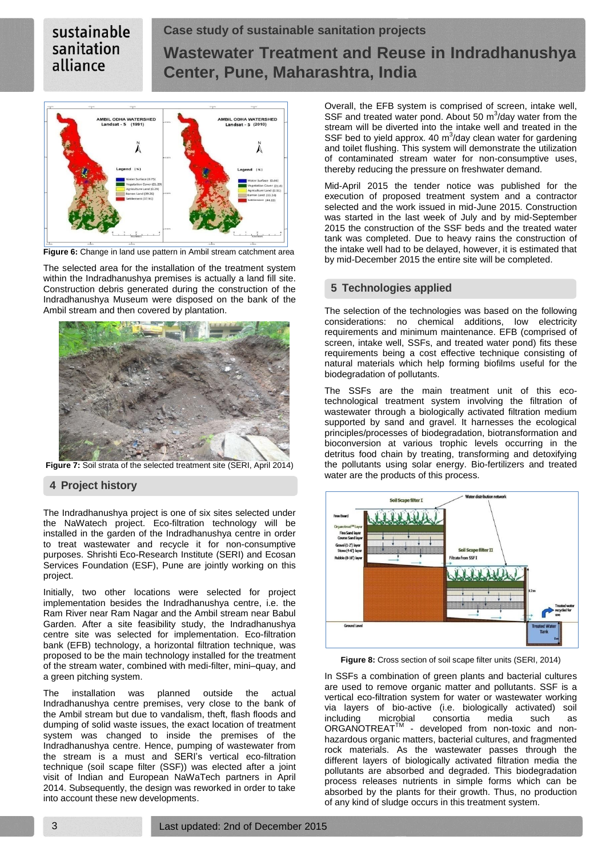# sustainable sanitation alliance

# **Case study of sustainable sanitation projects Wastewater Treatment and Reuse in Indradhanushya Center, Pune, Maharashtra, India**



**Figure 6:** Change in land use pattern in Ambil stream catchment area

The selected area for the installation of the treatment system within the Indradhanushya premises is actually a land fill site. Construction debris generated during the construction of the Indradhanushya Museum were disposed on the bank of the Ambil stream and then covered by plantation.



**Figure 7:** Soil strata of the selected treatment site (SERI, April 2014)

# **4 Project history**

The Indradhanushya project is one of six sites selected under the NaWatech project. Eco-filtration technology will be installed in the garden of the Indradhanushya centre in order to treat wastewater and recycle it for non-consumptive purposes. Shrishti Eco-Research Institute (SERI) and Ecosan Services Foundation (ESF), Pune are jointly working on this project.

Initially, two other locations were selected for project implementation besides the Indradhanushya centre, i.e. the Ram River near Ram Nagar and the Ambil stream near Babul Garden. After a site feasibility study, the Indradhanushya centre site was selected for implementation. Eco-filtration bank (EFB) technology, a horizontal filtration technique, was proposed to be the main technology installed for the treatment of the stream water, combined with medi-filter, mini–quay, and a green pitching system.

The installation was planned outside the actual Indradhanushya centre premises, very close to the bank of the Ambil stream but due to vandalism, theft, flash floods and dumping of solid waste issues, the exact location of treatment system was changed to inside the premises of the Indradhanushya centre. Hence, pumping of wastewater from the stream is a must and SERI's vertical eco-filtration technique (soil scape filter (SSF)) was elected after a joint visit of Indian and European NaWaTech partners in April 2014. Subsequently, the design was reworked in order to take into account these new developments.

Overall, the EFB system is comprised of screen, intake well, SSF and treated water pond. About 50  $\mathrm{m}^3$ /day water from the stream will be diverted into the intake well and treated in the SSF bed to yield approx. 40  $m^3$ /day clean water for gardening and toilet flushing. This system will demonstrate the utilization of contaminated stream water for non-consumptive uses, thereby reducing the pressure on freshwater demand.

Mid-April 2015 the tender notice was published for the execution of proposed treatment system and a contractor selected and the work issued in mid-June 2015. Construction was started in the last week of July and by mid-September 2015 the construction of the SSF beds and the treated water tank was completed. Due to heavy rains the construction of the intake well had to be delayed, however, it is estimated that by mid-December 2015 the entire site will be completed.

# **5 Technologies applied**

The selection of the technologies was based on the following considerations: no chemical additions, low electricity requirements and minimum maintenance. EFB (comprised of screen, intake well, SSFs, and treated water pond) fits these requirements being a cost effective technique consisting of natural materials which help forming biofilms useful for the biodegradation of pollutants.

The SSFs are the main treatment unit of this ecotechnological treatment system involving the filtration of wastewater through a biologically activated filtration medium supported by sand and gravel. It harnesses the ecological principles/processes of biodegradation, biotransformation and bioconversion at various trophic levels occurring in the detritus food chain by treating, transforming and detoxifying the pollutants using solar energy. Bio-fertilizers and treated water are the products of this process.



**Figure 8:** Cross section of soil scape filter units (SERI, 2014)

In SSFs a combination of green plants and bacterial cultures are used to remove organic matter and pollutants. SSF is a vertical eco-filtration system for water or wastewater working via layers of bio-active (i.e. biologically activated) soil including microbial consortia media such as ORGANOTREAT™ - developed from non-toxic and nonhazardous organic matters, bacterial cultures, and fragmented rock materials. As the wastewater passes through the different layers of biologically activated filtration media the pollutants are absorbed and degraded. This biodegradation process releases nutrients in simple forms which can be absorbed by the plants for their growth. Thus, no production of any kind of sludge occurs in this treatment system.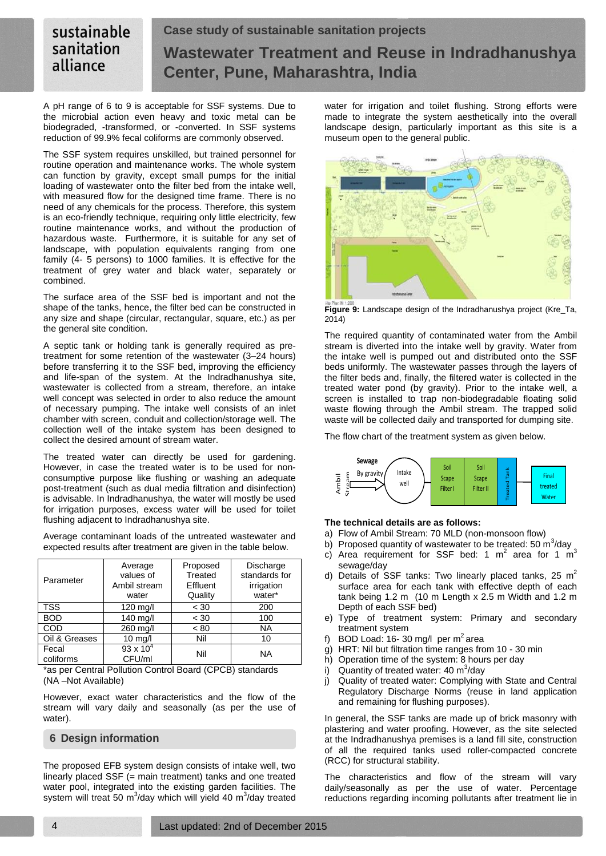#### sustainable **Case study of sustainable sanitation projects** sanitation **Wastewater Treatment and Reuse in Indradhanushya** alliance **Center, Pune, Maharashtra, India**

A pH range of 6 to 9 is acceptable for SSF systems. Due to the microbial action even heavy and toxic metal can be biodegraded, -transformed, or -converted. In SSF systems reduction of 99.9% fecal coliforms are commonly observed.

The SSF system requires unskilled, but trained personnel for routine operation and maintenance works. The whole system can function by gravity, except small pumps for the initial loading of wastewater onto the filter bed from the intake well, with measured flow for the designed time frame. There is no need of any chemicals for the process. Therefore, this system is an eco-friendly technique, requiring only little electricity, few routine maintenance works, and without the production of hazardous waste. Furthermore, it is suitable for any set of landscape, with population equivalents ranging from one family (4- 5 persons) to 1000 families. It is effective for the treatment of grey water and black water, separately or combined.

The surface area of the SSF bed is important and not the shape of the tanks, hence, the filter bed can be constructed in any size and shape (circular, rectangular, square, etc.) as per the general site condition.

A septic tank or holding tank is generally required as pretreatment for some retention of the wastewater (3–24 hours) before transferring it to the SSF bed, improving the efficiency and life-span of the system. At the Indradhanushya site, wastewater is collected from a stream, therefore, an intake well concept was selected in order to also reduce the amount of necessary pumping. The intake well consists of an inlet chamber with screen, conduit and collection/storage well. The collection well of the intake system has been designed to collect the desired amount of stream water.

The treated water can directly be used for gardening. However, in case the treated water is to be used for nonconsumptive purpose like flushing or washing an adequate post-treatment (such as dual media filtration and disinfection) is advisable. In Indradhanushya, the water will mostly be used for irrigation purposes, excess water will be used for toilet flushing adjacent to Indradhanushya site.

Average contaminant loads of the untreated wastewater and expected results after treatment are given in the table below.

| Parameter          | Average<br>values of<br>Ambil stream<br>water | Proposed<br>Treated<br>Effluent<br>Quality | Discharge<br>standards for<br>irrigation<br>water* |
|--------------------|-----------------------------------------------|--------------------------------------------|----------------------------------------------------|
| <b>TSS</b>         | 120 mg/l                                      | < 30                                       | 200                                                |
| <b>BOD</b>         | 140 mg/l                                      | < 30                                       | 100                                                |
| COD                | 260 mg/l                                      | < 80                                       | <b>NA</b>                                          |
| Oil & Greases      | $10$ mg/l                                     | Nil                                        | 10                                                 |
| Fecal<br>coliforms | $93 \times 10^{4}$<br>CFU/ml                  | Nil                                        | <b>NA</b>                                          |

\*as per Central Pollution Control Board (CPCB) standards (NA –Not Available)

However, exact water characteristics and the flow of the stream will vary daily and seasonally (as per the use of water).

# **6 Design information**

The proposed EFB system design consists of intake well, two linearly placed SSF (= main treatment) tanks and one treated water pool, integrated into the existing garden facilities. The system will treat 50 m<sup>3</sup>/day which will yield 40 m<sup>3</sup>/day treated water for irrigation and toilet flushing. Strong efforts were made to integrate the system aesthetically into the overall landscape design, particularly important as this site is a museum open to the general public.



**Figure 9:** Landscape design of the Indradhanushya project (Kre\_Ta, 2014)

The required quantity of contaminated water from the Ambil stream is diverted into the intake well by gravity. Water from the intake well is pumped out and distributed onto the SSF beds uniformly. The wastewater passes through the layers of the filter beds and, finally, the filtered water is collected in the treated water pond (by gravity). Prior to the intake well, a screen is installed to trap non-biodegradable floating solid waste flowing through the Ambil stream. The trapped solid waste will be collected daily and transported for dumping site.

The flow chart of the treatment system as given below.



### **The technical details are as follows:**

- a) Flow of Ambil Stream: 70 MLD (non-monsoon flow)
- b) Proposed quantity of wastewater to be treated: 50  $\text{m}^3$ /day
- c) Area requirement for SSF bed: 1  $m^2$  area for 1  $m^3$ sewage/day
- d) Details of SSF tanks: Two linearly placed tanks, 25 m<sup>2</sup> surface area for each tank with effective depth of each tank being 1.2 m (10 m Length x 2.5 m Width and 1.2 m Depth of each SSF bed)
- e) Type of treatment system: Primary and secondary treatment system
- f) BOD Load: 16- 30 mg/l per m<sup>2</sup> area
- g) HRT: Nil but filtration time ranges from 10 30 min
- h) Operation time of the system: 8 hours per day
- i) Quantity of treated water: 40  $m^3$ /day
- j) Quality of treated water: Complying with State and Central Regulatory Discharge Norms (reuse in land application and remaining for flushing purposes).

In general, the SSF tanks are made up of brick masonry with plastering and water proofing. However, as the site selected at the Indradhanushya premises is a land fill site, construction of all the required tanks used roller-compacted concrete (RCC) for structural stability.

The characteristics and flow of the stream will vary daily/seasonally as per the use of water. Percentage reductions regarding incoming pollutants after treatment lie in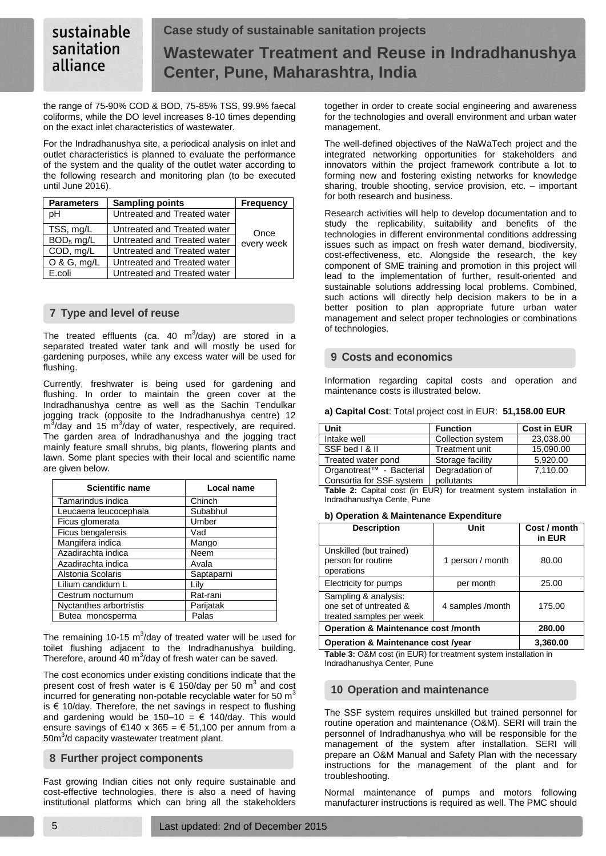#### sustainable **Case study of sustainable sanitation projects** sanitation **Wastewater Treatment and Reuse in Indradhanushya** alliance **Center, Pune, Maharashtra, India**

the range of 75-90% COD & BOD, 75-85% TSS, 99.9% faecal coliforms, while the DO level increases 8-10 times depending on the exact inlet characteristics of wastewater.

For the Indradhanushya site, a periodical analysis on inlet and outlet characteristics is planned to evaluate the performance of the system and the quality of the outlet water according to the following research and monitoring plan (to be executed until June 2016).

| <b>Parameters</b>     | <b>Sampling points</b>      | <b>Frequency</b> |
|-----------------------|-----------------------------|------------------|
| pН                    | Untreated and Treated water |                  |
| TSS, mg/L             | Untreated and Treated water | Once             |
| BOD <sub>5</sub> mg/L | Untreated and Treated water | every week       |
| COD, mg/L             | Untreated and Treated water |                  |
| $O & G,$ mg/L         | Untreated and Treated water |                  |
| E.coli                | Untreated and Treated water |                  |

# **7 Type and level of reuse**

The treated effluents (ca. 40 m $3/$ day) are stored in a separated treated water tank and will mostly be used for gardening purposes, while any excess water will be used for flushing.

Currently, freshwater is being used for gardening and flushing. In order to maintain the green cover at the Indradhanushya centre as well as the Sachin Tendulkar jogging track (opposite to the Indradhanushya centre) 12  $\rm m^3$ /day and 15  $\rm m^3$ /day of water, respectively, are required. The garden area of Indradhanushya and the jogging tract mainly feature small shrubs, big plants, flowering plants and lawn. Some plant species with their local and scientific name are given below.

| <b>Scientific name</b>  | <b>Local name</b> |
|-------------------------|-------------------|
| Tamarindus indica       | Chinch            |
| Leucaena leucocephala   | Subabhul          |
| Ficus glomerata         | Umber             |
| Ficus bengalensis       | Vad               |
| Mangifera indica        | Mango             |
| Azadirachta indica      | Neem              |
| Azadirachta indica      | Avala             |
| Alstonia Scolaris       | Saptaparni        |
| Lilium candidum L       | Lily              |
| Cestrum nocturnum       | Rat-rani          |
| Nyctanthes arbortristis | Parijatak         |
| Butea monosperma        | Palas             |

The remaining 10-15  $m^3$ /day of treated water will be used for toilet flushing adjacent to the Indradhanushya building. Therefore, around 40  $\text{m}^3$ /day of fresh water can be saved.

The cost economics under existing conditions indicate that the present cost of fresh water is  $\epsilon$  150/day per 50 m<sup>3</sup> and cost incurred for generating non-potable recyclable water for 50  $m<sup>3</sup>$ is  $€$  10/day. Therefore, the net savings in respect to flushing and gardening would be 150-10 =  $\epsilon$  140/day. This would ensure savings of  $\epsilon$ 140 x 365 =  $\epsilon$  51,100 per annum from a 50m<sup>3</sup>/d capacity wastewater treatment plant.

# **8 Further project components**

Fast growing Indian cities not only require sustainable and cost-effective technologies, there is also a need of having institutional platforms which can bring all the stakeholders together in order to create social engineering and awareness for the technologies and overall environment and urban water management.

The well-defined objectives of the NaWaTech project and the integrated networking opportunities for stakeholders and innovators within the project framework contribute a lot to forming new and fostering existing networks for knowledge sharing, trouble shooting, service provision, etc. – important for both research and business.

Research activities will help to develop documentation and to study the replicability, suitability and benefits of the technologies in different environmental conditions addressing issues such as impact on fresh water demand, biodiversity, cost-effectiveness, etc. Alongside the research, the key component of SME training and promotion in this project will lead to the implementation of further, result-oriented and sustainable solutions addressing local problems. Combined, such actions will directly help decision makers to be in a better position to plan appropriate future urban water management and select proper technologies or combinations of technologies.

# **9 Costs and economics**

Information regarding capital costs and operation and maintenance costs is illustrated below.

| a) Capital Cost: Total project cost in EUR: 51,158.00 EUR |
|-----------------------------------------------------------|
|-----------------------------------------------------------|

| Unit                     | <b>Function</b>   | <b>Cost in EUR</b> |  |  |
|--------------------------|-------------------|--------------------|--|--|
| Intake well              | Collection system | 23.038.00          |  |  |
| SSF bed   &              | Treatment unit    | 15.090.00          |  |  |
| Treated water pond       | Storage facility  | 5.920.00           |  |  |
| Organotreat™ - Bacterial | Degradation of    | 7,110.00           |  |  |
| Consortia for SSF system | pollutants        |                    |  |  |

**Table 2:** Capital cost (in EUR) for treatment system installation in Indradhanushya Cente, Pune

### **b) Operation & Maintenance Expenditure**

| <b>Description</b>                                                         | Unit             | Cost / month<br>in EUR |
|----------------------------------------------------------------------------|------------------|------------------------|
| Unskilled (but trained)<br>person for routine<br>operations                | 1 person / month | 80.00                  |
| Electricity for pumps                                                      | per month        | 25.00                  |
| Sampling & analysis:<br>one set of untreated &<br>treated samples per week | 175.00           |                        |
| <b>Operation &amp; Maintenance cost /month</b>                             | 280.00           |                        |
| Ournation O Melutenense seet broom                                         | .                |                        |

**Operation & Maintenance cost /year 3,360.00**

**Table 3:** O&M cost (in EUR) for treatment system installation in Indradhanushya Center, Pune

# **10 Operation and maintenance**

The SSF system requires unskilled but trained personnel for routine operation and maintenance (O&M). SERI will train the personnel of Indradhanushya who will be responsible for the management of the system after installation. SERI will prepare an O&M Manual and Safety Plan with the necessary instructions for the management of the plant and for troubleshooting.

Normal maintenance of pumps and motors following manufacturer instructions is required as well. The PMC should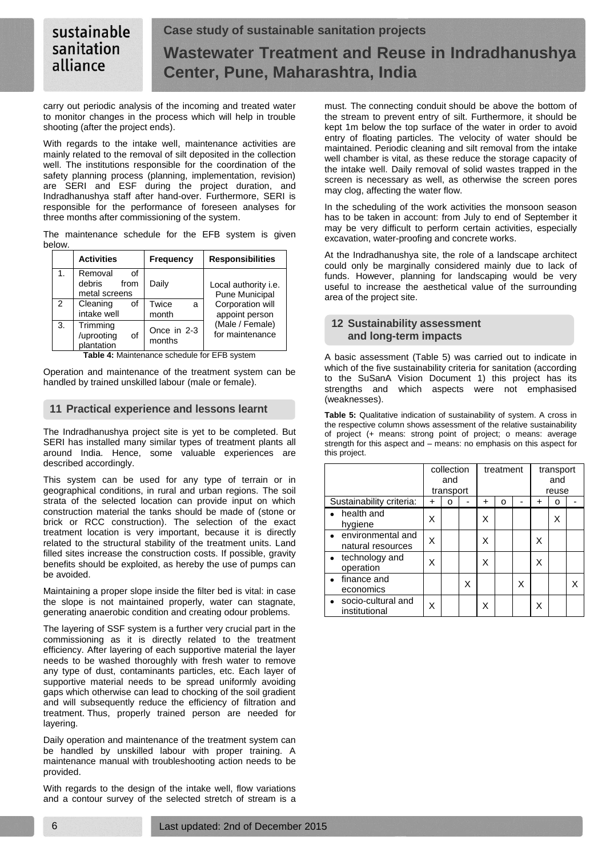#### sustainable **Case study of sustainable sanitation projects** sanitation **Wastewater Treatment and Reuse in Indradhanushya** alliance **Center, Pune, Maharashtra, India**

carry out periodic analysis of the incoming and treated water to monitor changes in the process which will help in trouble shooting (after the project ends).

With regards to the intake well, maintenance activities are mainly related to the removal of silt deposited in the collection well. The institutions responsible for the coordination of the safety planning process (planning, implementation, revision) are SERI and ESF during the project duration, and Indradhanushya staff after hand-over. Furthermore, SERI is responsible for the performance of foreseen analyses for three months after commissioning of the system.

The maintenance schedule for the EFB system is given below.

|               | <b>Activities</b>                                | <b>Frequency</b>      | <b>Responsibilities</b>                              |
|---------------|--------------------------------------------------|-----------------------|------------------------------------------------------|
| $\mathbf 1$ . | Removal<br>οf<br>debris<br>from<br>metal screens | Daily                 | Local authority <i>i.e.</i><br><b>Pune Municipal</b> |
| 2             | Cleaning<br>οf<br>intake well                    | Twice<br>a<br>month   | Corporation will<br>appoint person                   |
| 3.            | Trimming<br>/uprooting<br>οf<br>plantation       | Once in 2-3<br>months | (Male / Female)<br>for maintenance                   |

**Table 4:** Maintenance schedule for EFB system

Operation and maintenance of the treatment system can be handled by trained unskilled labour (male or female).

# **11 Practical experience and lessons learnt**

The Indradhanushya project site is yet to be completed. But SERI has installed many similar types of treatment plants all around India. Hence, some valuable experiences are described accordingly.

This system can be used for any type of terrain or in geographical conditions, in rural and urban regions. The soil strata of the selected location can provide input on which construction material the tanks should be made of (stone or brick or RCC construction). The selection of the exact treatment location is very important, because it is directly related to the structural stability of the treatment units. Land filled sites increase the construction costs. If possible, gravity benefits should be exploited, as hereby the use of pumps can be avoided.

Maintaining a proper slope inside the filter bed is vital: in case the slope is not maintained properly, water can stagnate, generating anaerobic condition and creating odour problems.

The layering of SSF system is a further very crucial part in the commissioning as it is directly related to the treatment efficiency. After layering of each supportive material the layer needs to be washed thoroughly with fresh water to remove any type of dust, contaminants particles, etc. Each layer of supportive material needs to be spread uniformly avoiding gaps which otherwise can lead to chocking of the soil gradient and will subsequently reduce the efficiency of filtration and treatment. Thus, properly trained person are needed for layering.

Daily operation and maintenance of the treatment system can be handled by unskilled labour with proper training. A maintenance manual with troubleshooting action needs to be provided.

With regards to the design of the intake well, flow variations and a contour survey of the selected stretch of stream is a

must. The connecting conduit should be above the bottom of the stream to prevent entry of silt. Furthermore, it should be kept 1m below the top surface of the water in order to avoid entry of floating particles. The velocity of water should be maintained. Periodic cleaning and silt removal from the intake well chamber is vital, as these reduce the storage capacity of the intake well. Daily removal of solid wastes trapped in the screen is necessary as well, as otherwise the screen pores may clog, affecting the water flow.

In the scheduling of the work activities the monsoon season has to be taken in account: from July to end of September it may be very difficult to perform certain activities, especially excavation, water-proofing and concrete works.

At the Indradhanushya site, the role of a landscape architect could only be marginally considered mainly due to lack of funds. However, planning for landscaping would be very useful to increase the aesthetical value of the surrounding area of the project site.

# **12 Sustainability assessment and long-term impacts**

A basic assessment (Table 5) was carried out to indicate in which of the five sustainability criteria for sanitation (according to the SuSanA Vision Document 1) this project has its strengths and which aspects were not emphasised (weaknesses).

**Table 5:** Qualitative indication of sustainability of system. A cross in the respective column shows assessment of the relative sustainability of project (+ means: strong point of project; o means: average strength for this aspect and – means: no emphasis on this aspect for this project.

|                                          | collection<br>and<br>transport |   | treatment |   | transport<br>and<br>reuse |   |   |   |  |
|------------------------------------------|--------------------------------|---|-----------|---|---------------------------|---|---|---|--|
| Sustainability criteria:                 | +                              | ი |           | + | ი                         |   | + | o |  |
| health and<br>hygiene                    | x                              |   |           | Χ |                           |   |   | X |  |
| • environmental and<br>natural resources | x                              |   |           | X |                           |   | Χ |   |  |
| • technology and<br>operation            | x                              |   |           | Χ |                           |   | Χ |   |  |
| finance and<br>economics                 |                                |   | X         |   |                           | X |   |   |  |
| • socio-cultural and<br>institutional    |                                |   |           | Χ |                           |   | X |   |  |